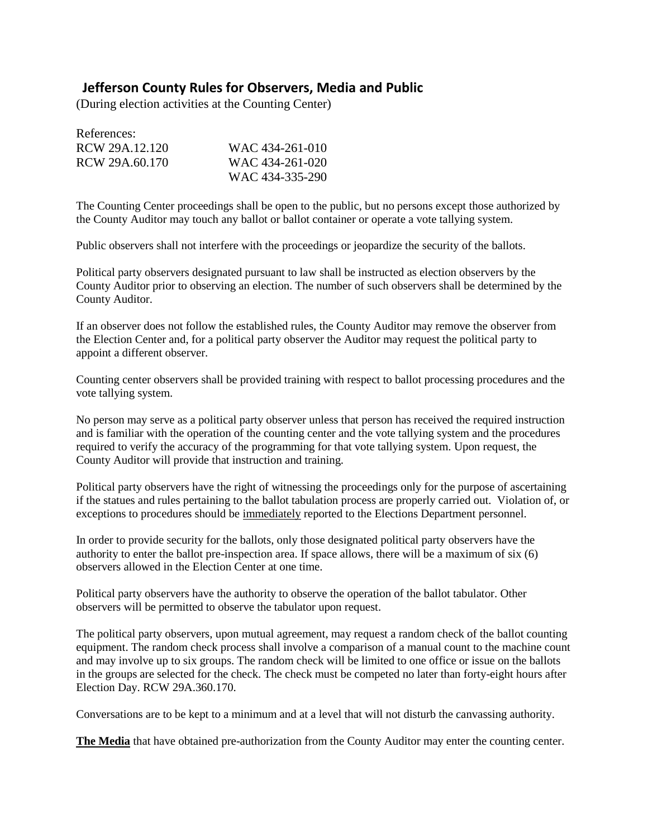## **Jefferson County Rules for Observers, Media and Public**

(During election activities at the Counting Center)

| References:    |                 |
|----------------|-----------------|
| RCW 29A.12.120 | WAC 434-261-010 |
| RCW 29A.60.170 | WAC 434-261-020 |
|                | WAC 434-335-290 |

The Counting Center proceedings shall be open to the public, but no persons except those authorized by the County Auditor may touch any ballot or ballot container or operate a vote tallying system.

Public observers shall not interfere with the proceedings or jeopardize the security of the ballots.

Political party observers designated pursuant to law shall be instructed as election observers by the County Auditor prior to observing an election. The number of such observers shall be determined by the County Auditor.

If an observer does not follow the established rules, the County Auditor may remove the observer from the Election Center and, for a political party observer the Auditor may request the political party to appoint a different observer.

Counting center observers shall be provided training with respect to ballot processing procedures and the vote tallying system.

No person may serve as a political party observer unless that person has received the required instruction and is familiar with the operation of the counting center and the vote tallying system and the procedures required to verify the accuracy of the programming for that vote tallying system. Upon request, the County Auditor will provide that instruction and training.

Political party observers have the right of witnessing the proceedings only for the purpose of ascertaining if the statues and rules pertaining to the ballot tabulation process are properly carried out. Violation of, or exceptions to procedures should be immediately reported to the Elections Department personnel.

In order to provide security for the ballots, only those designated political party observers have the authority to enter the ballot pre-inspection area. If space allows, there will be a maximum of six (6) observers allowed in the Election Center at one time.

Political party observers have the authority to observe the operation of the ballot tabulator. Other observers will be permitted to observe the tabulator upon request.

The political party observers, upon mutual agreement, may request a random check of the ballot counting equipment. The random check process shall involve a comparison of a manual count to the machine count and may involve up to six groups. The random check will be limited to one office or issue on the ballots in the groups are selected for the check. The check must be competed no later than forty-eight hours after Election Day. RCW 29A.360.170.

Conversations are to be kept to a minimum and at a level that will not disturb the canvassing authority.

**The Media** that have obtained pre-authorization from the County Auditor may enter the counting center.